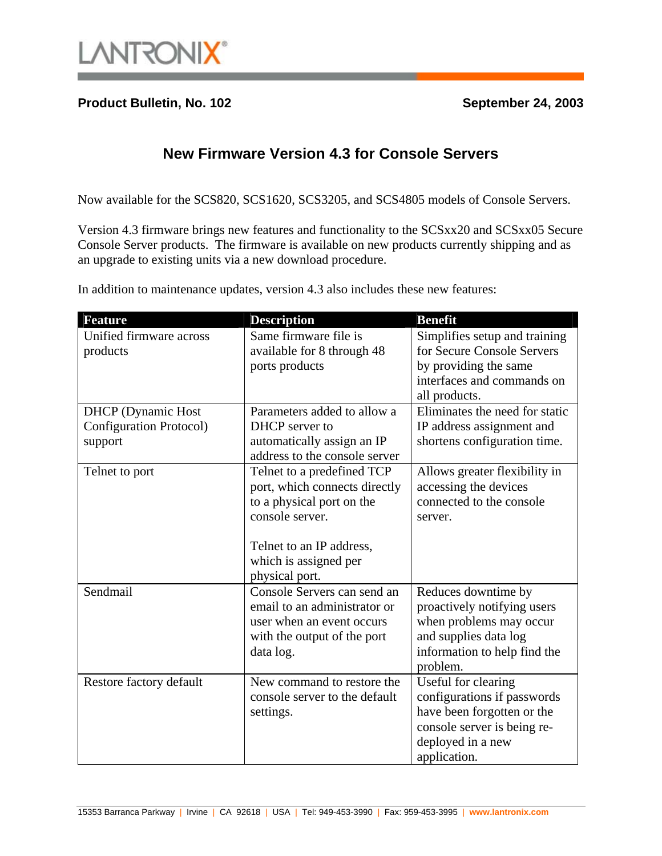## **Product Bulletin, No. 102** September 24, 2003

## **New Firmware Version 4.3 for Console Servers**

Now available for the SCS820, SCS1620, SCS3205, and SCS4805 models of Console Servers.

Version 4.3 firmware brings new features and functionality to the SCSxx20 and SCSxx05 Secure Console Server products. The firmware is available on new products currently shipping and as an upgrade to existing units via a new download procedure.

In addition to maintenance updates, version 4.3 also includes these new features:

| <b>Feature</b>                 | <b>Description</b>            | <b>Benefit</b>                 |
|--------------------------------|-------------------------------|--------------------------------|
| Unified firmware across        | Same firmware file is         | Simplifies setup and training  |
| products                       | available for 8 through 48    | for Secure Console Servers     |
|                                | ports products                | by providing the same          |
|                                |                               | interfaces and commands on     |
|                                |                               | all products.                  |
| <b>DHCP</b> (Dynamic Host      | Parameters added to allow a   | Eliminates the need for static |
| <b>Configuration Protocol)</b> | DHCP server to                | IP address assignment and      |
| support                        | automatically assign an IP    | shortens configuration time.   |
|                                | address to the console server |                                |
| Telnet to port                 | Telnet to a predefined TCP    | Allows greater flexibility in  |
|                                | port, which connects directly | accessing the devices          |
|                                | to a physical port on the     | connected to the console       |
|                                | console server.               | server.                        |
|                                |                               |                                |
|                                | Telnet to an IP address,      |                                |
|                                | which is assigned per         |                                |
|                                | physical port.                |                                |
| Sendmail                       | Console Servers can send an   | Reduces downtime by            |
|                                | email to an administrator or  | proactively notifying users    |
|                                | user when an event occurs     | when problems may occur        |
|                                | with the output of the port   | and supplies data log          |
|                                | data log.                     | information to help find the   |
|                                |                               | problem.                       |
| Restore factory default        | New command to restore the    | Useful for clearing            |
|                                | console server to the default | configurations if passwords    |
|                                | settings.                     | have been forgotten or the     |
|                                |                               | console server is being re-    |
|                                |                               | deployed in a new              |
|                                |                               | application.                   |